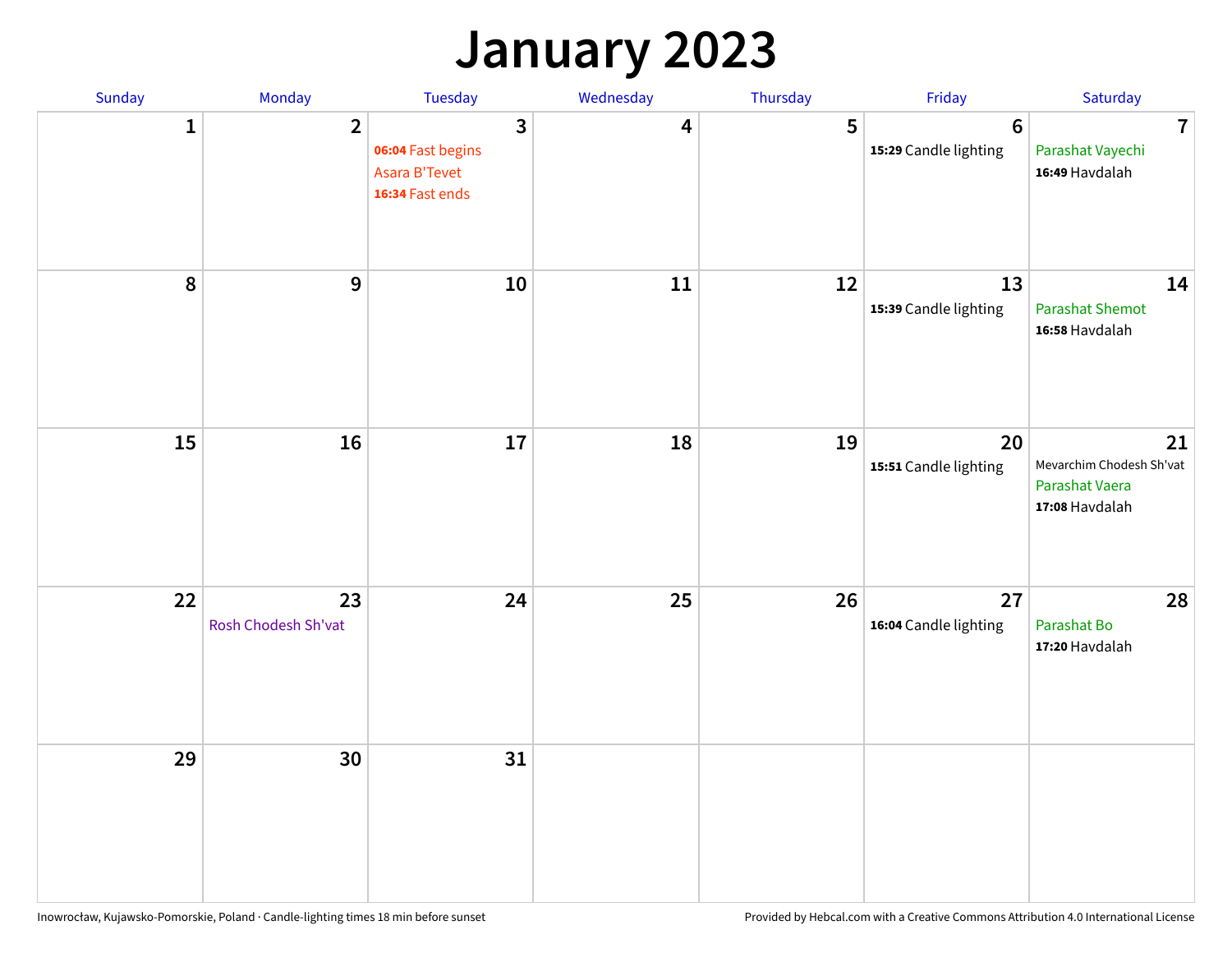#### **January 2023**

| Sunday           | Monday                    | Tuesday                                                                                 | Wednesday | Thursday | Friday                                   | Saturday                                                           |
|------------------|---------------------------|-----------------------------------------------------------------------------------------|-----------|----------|------------------------------------------|--------------------------------------------------------------------|
| 1                | $\overline{2}$            | $\overline{\mathbf{3}}$<br>06:04 Fast begins<br><b>Asara B'Tevet</b><br>16:34 Fast ends | 4         | 5        | $6\phantom{1}6$<br>15:29 Candle lighting | $\overline{7}$<br>Parashat Vayechi<br>16:49 Havdalah               |
| $\boldsymbol{8}$ | $\boldsymbol{9}$          | 10                                                                                      | 11        | 12       | 13<br>15:39 Candle lighting              | 14<br><b>Parashat Shemot</b><br>16:58 Havdalah                     |
| 15               | 16                        | 17                                                                                      | 18        | 19       | 20<br>15:51 Candle lighting              | 21<br>Mevarchim Chodesh Sh'vat<br>Parashat Vaera<br>17:08 Havdalah |
| 22               | 23<br>Rosh Chodesh Sh'vat | 24                                                                                      | 25        | 26       | 27<br>16:04 Candle lighting              | 28<br>Parashat Bo<br>17:20 Havdalah                                |
| 29               | 30                        | 31                                                                                      |           |          |                                          |                                                                    |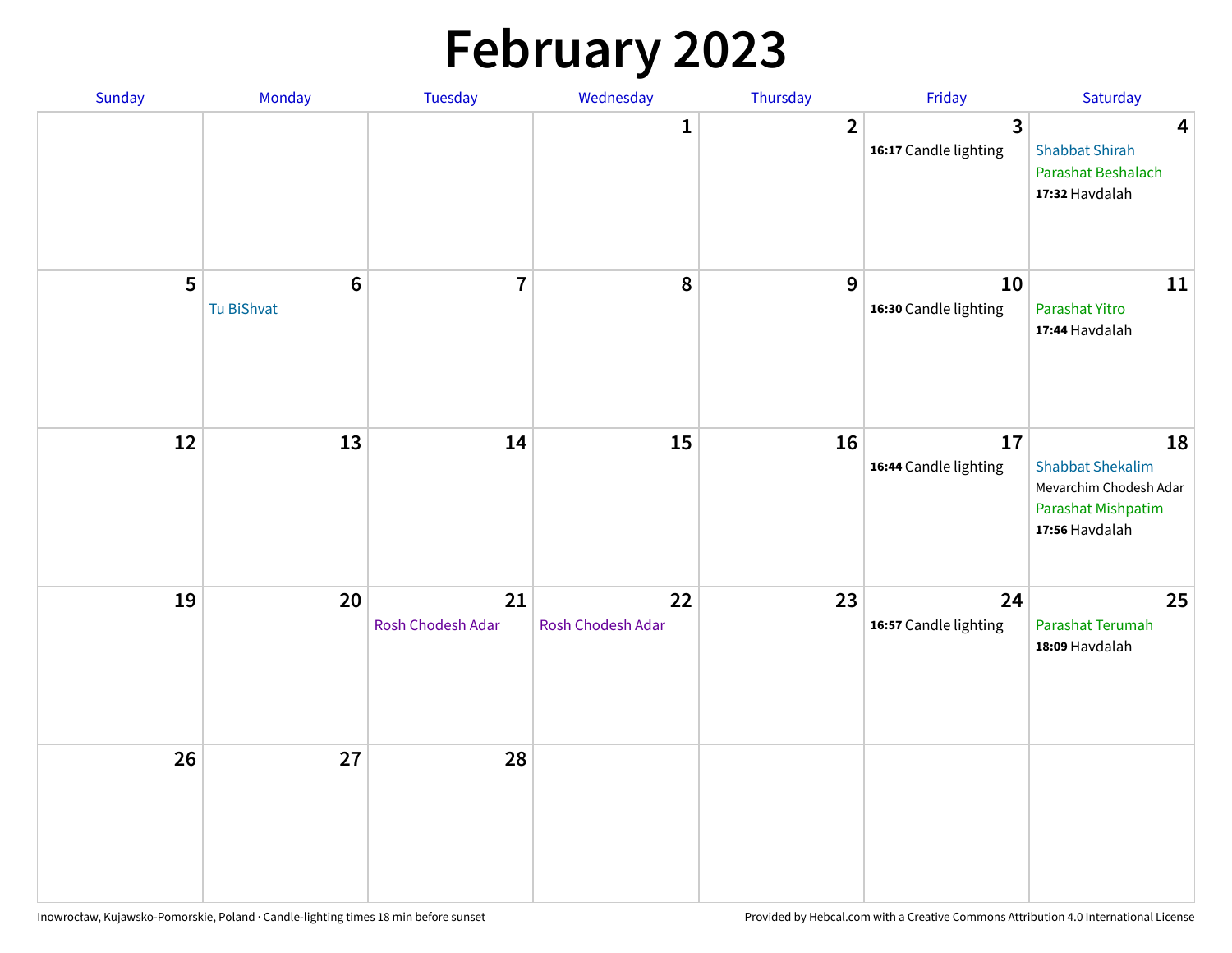# **February 2023**

| Sunday | Monday                        | Tuesday                 | Wednesday               | Thursday       | Friday                                  | Saturday                                                                                               |
|--------|-------------------------------|-------------------------|-------------------------|----------------|-----------------------------------------|--------------------------------------------------------------------------------------------------------|
|        |                               |                         | 1                       | $\overline{2}$ | $\overline{3}$<br>16:17 Candle lighting | $\overline{\mathbf{4}}$<br><b>Shabbat Shirah</b><br>Parashat Beshalach<br>17:32 Havdalah               |
| 5      | $6\phantom{1}6$<br>Tu BiShvat | $\overline{7}$          | 8                       | 9              | 10<br>16:30 Candle lighting             | 11<br>Parashat Yitro<br>17:44 Havdalah                                                                 |
| 12     | 13                            | 14                      | 15                      | 16             | 17<br>16:44 Candle lighting             | 18<br><b>Shabbat Shekalim</b><br>Mevarchim Chodesh Adar<br><b>Parashat Mishpatim</b><br>17:56 Havdalah |
| 19     | 20                            | 21<br>Rosh Chodesh Adar | 22<br>Rosh Chodesh Adar | 23             | 24<br>16:57 Candle lighting             | 25<br>Parashat Terumah<br>18:09 Havdalah                                                               |
| 26     | 27                            | 28                      |                         |                |                                         |                                                                                                        |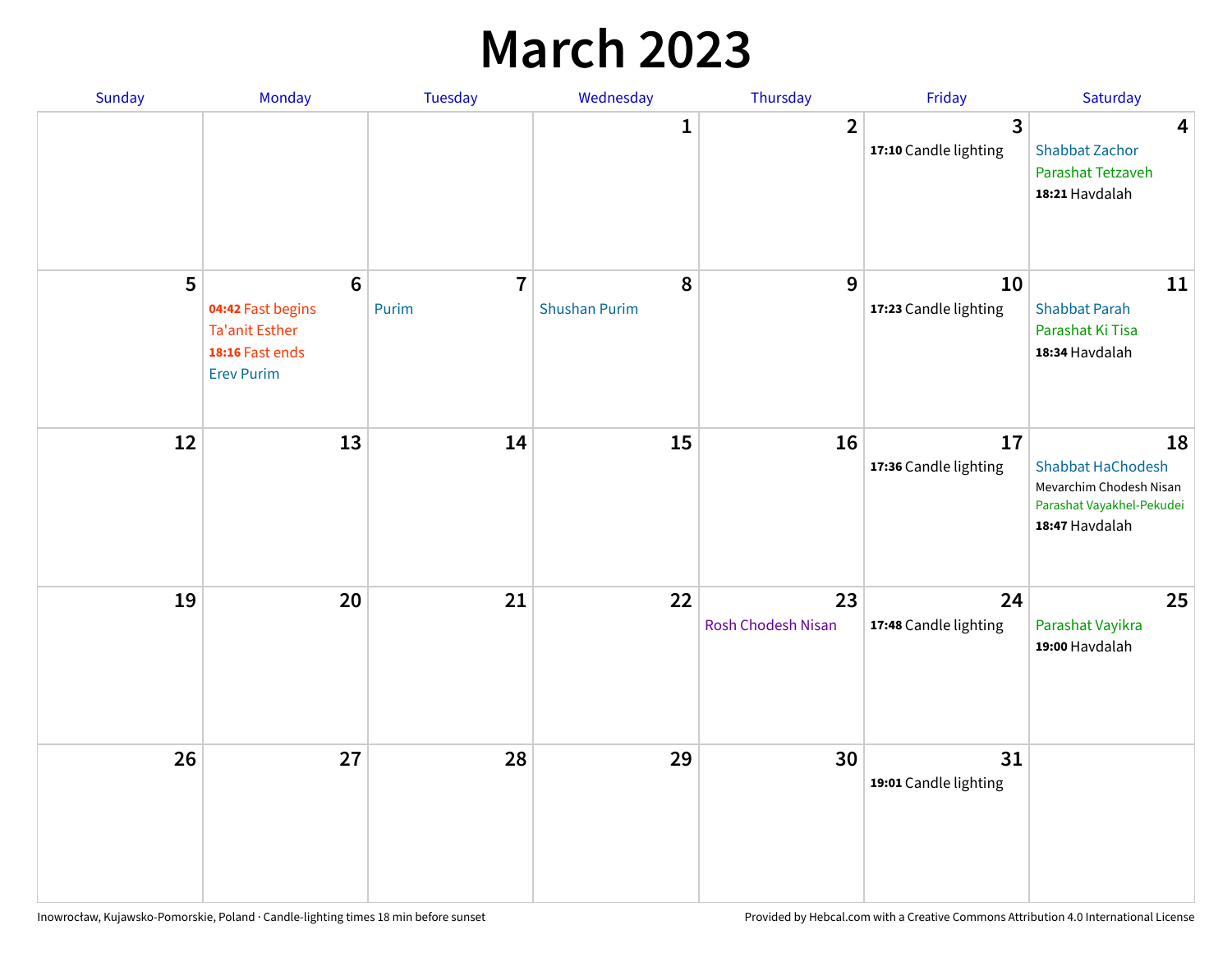#### **March 2023**

| Sunday | Monday                                                                                                | Tuesday                 | Wednesday                 | Thursday                        | Friday                      | Saturday                                                                                                 |
|--------|-------------------------------------------------------------------------------------------------------|-------------------------|---------------------------|---------------------------------|-----------------------------|----------------------------------------------------------------------------------------------------------|
|        |                                                                                                       |                         | 1                         | $\overline{2}$                  | 3<br>17:10 Candle lighting  | 4<br><b>Shabbat Zachor</b><br>Parashat Tetzaveh<br>18:21 Havdalah                                        |
| 5      | $6\phantom{1}6$<br>04:42 Fast begins<br><b>Ta'anit Esther</b><br>18:16 Fast ends<br><b>Erev Purim</b> | $\overline{7}$<br>Purim | 8<br><b>Shushan Purim</b> | 9                               | 10<br>17:23 Candle lighting | 11<br><b>Shabbat Parah</b><br>Parashat Ki Tisa<br>18:34 Havdalah                                         |
| 12     | 13                                                                                                    | 14                      | 15                        | 16                              | 17<br>17:36 Candle lighting | 18<br><b>Shabbat HaChodesh</b><br>Mevarchim Chodesh Nisan<br>Parashat Vayakhel-Pekudei<br>18:47 Havdalah |
| 19     | 20                                                                                                    | 21                      | 22                        | 23<br><b>Rosh Chodesh Nisan</b> | 24<br>17:48 Candle lighting | 25<br>Parashat Vayikra<br>19:00 Havdalah                                                                 |
| 26     | 27                                                                                                    | 28                      | 29                        | 30                              | 31<br>19:01 Candle lighting |                                                                                                          |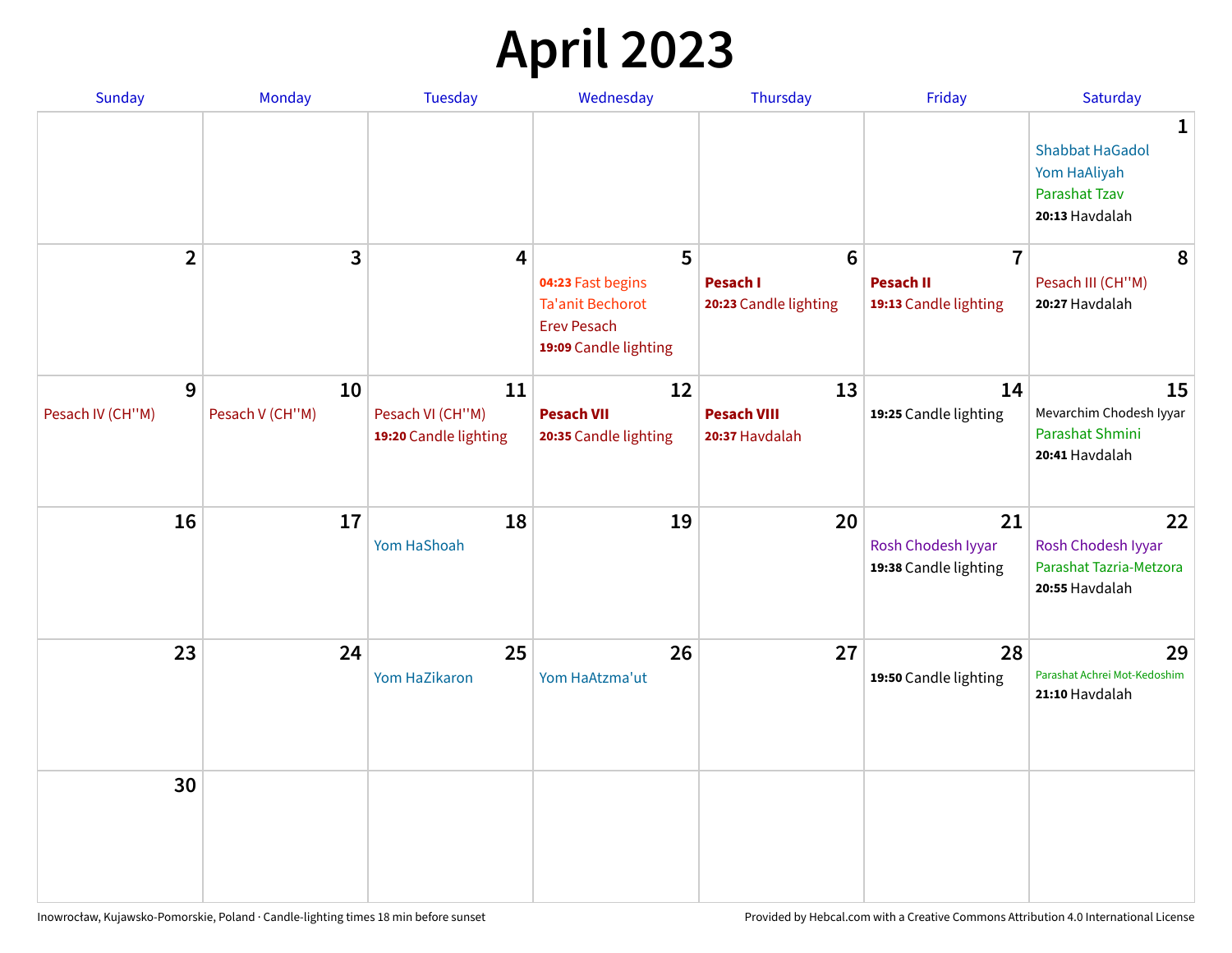## **April 2023**

| Sunday           | Monday          | <b>Tuesday</b>                            | Wednesday                                                                                   | Thursday                                 | Friday                                            | Saturday                                                                       |
|------------------|-----------------|-------------------------------------------|---------------------------------------------------------------------------------------------|------------------------------------------|---------------------------------------------------|--------------------------------------------------------------------------------|
|                  |                 |                                           |                                                                                             |                                          |                                                   | 1<br><b>Shabbat HaGadol</b><br>Yom HaAliyah<br>Parashat Tzav<br>20:13 Havdalah |
| $\overline{2}$   | 3               | $\overline{\mathbf{4}}$                   | 5                                                                                           | $6\phantom{1}$                           | $\overline{7}$                                    | 8                                                                              |
|                  |                 |                                           | 04:23 Fast begins<br><b>Ta'anit Bechorot</b><br><b>Erev Pesach</b><br>19:09 Candle lighting | <b>Pesach I</b><br>20:23 Candle lighting | <b>Pesach II</b><br>19:13 Candle lighting         | Pesach III (CH"M)<br>20:27 Havdalah                                            |
| 9                | 10              | 11                                        | 12                                                                                          | 13                                       | 14                                                | 15                                                                             |
| Pesach IV (CH"M) | Pesach V (CH"M) | Pesach VI (CH"M)<br>19:20 Candle lighting | <b>Pesach VII</b><br>20:35 Candle lighting                                                  | <b>Pesach VIII</b><br>20:37 Havdalah     | 19:25 Candle lighting                             | Mevarchim Chodesh Iyyar<br>Parashat Shmini<br>20:41 Havdalah                   |
| 16               | 17              | 18<br>Yom HaShoah                         | 19                                                                                          | 20                                       | 21<br>Rosh Chodesh Iyyar<br>19:38 Candle lighting | 22<br>Rosh Chodesh Iyyar<br>Parashat Tazria-Metzora<br>20:55 Havdalah          |
| 23               | 24              | 25<br>Yom HaZikaron                       | 26<br>Yom HaAtzma'ut                                                                        | 27                                       | 28<br>19:50 Candle lighting                       | 29<br>Parashat Achrei Mot-Kedoshim<br>21:10 Havdalah                           |
| 30               |                 |                                           |                                                                                             |                                          |                                                   |                                                                                |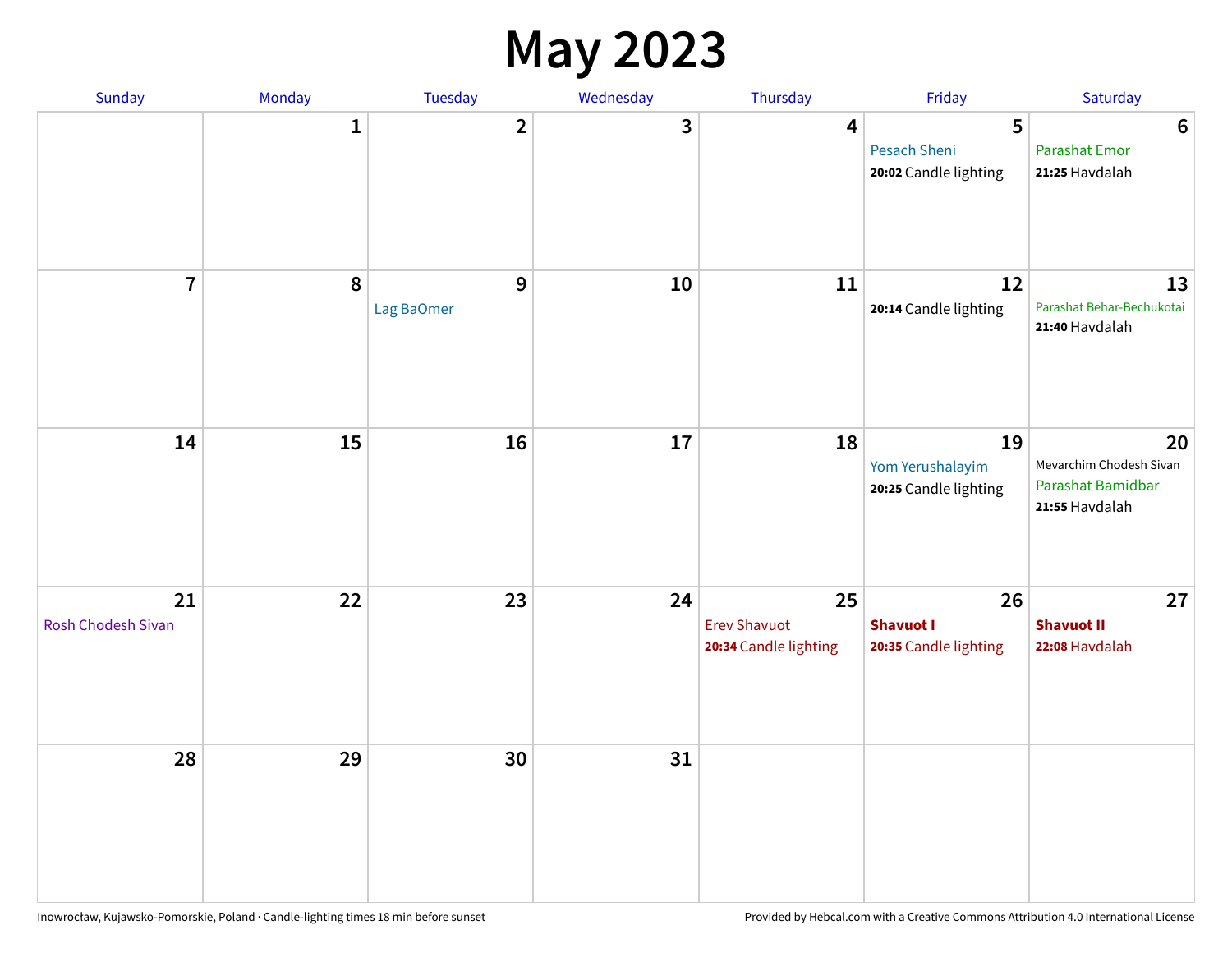#### **May 2023**

| Sunday                          | Monday       | Tuesday                 | Wednesday | Thursday                                           | Friday                                          | Saturday                                                             |
|---------------------------------|--------------|-------------------------|-----------|----------------------------------------------------|-------------------------------------------------|----------------------------------------------------------------------|
|                                 | $\mathbf{1}$ | $\overline{\mathbf{2}}$ | 3         | $\overline{\mathbf{4}}$                            | 5<br>Pesach Sheni<br>20:02 Candle lighting      | $\bf 6$<br><b>Parashat Emor</b><br>21:25 Havdalah                    |
| $\overline{7}$                  | 8            | $9$<br>Lag BaOmer       | 10        | 11                                                 | 12<br>20:14 Candle lighting                     | 13<br>Parashat Behar-Bechukotai<br>21:40 Havdalah                    |
| 14                              | 15           | 16                      | 17        | 18                                                 | 19<br>Yom Yerushalayim<br>20:25 Candle lighting | 20<br>Mevarchim Chodesh Sivan<br>Parashat Bamidbar<br>21:55 Havdalah |
| 21<br><b>Rosh Chodesh Sivan</b> | 22           | 23                      | 24        | 25<br><b>Erev Shavuot</b><br>20:34 Candle lighting | 26<br><b>Shavuot I</b><br>20:35 Candle lighting | 27<br><b>Shavuot II</b><br>22:08 Havdalah                            |
| 28                              | 29           | 30                      | 31        |                                                    |                                                 |                                                                      |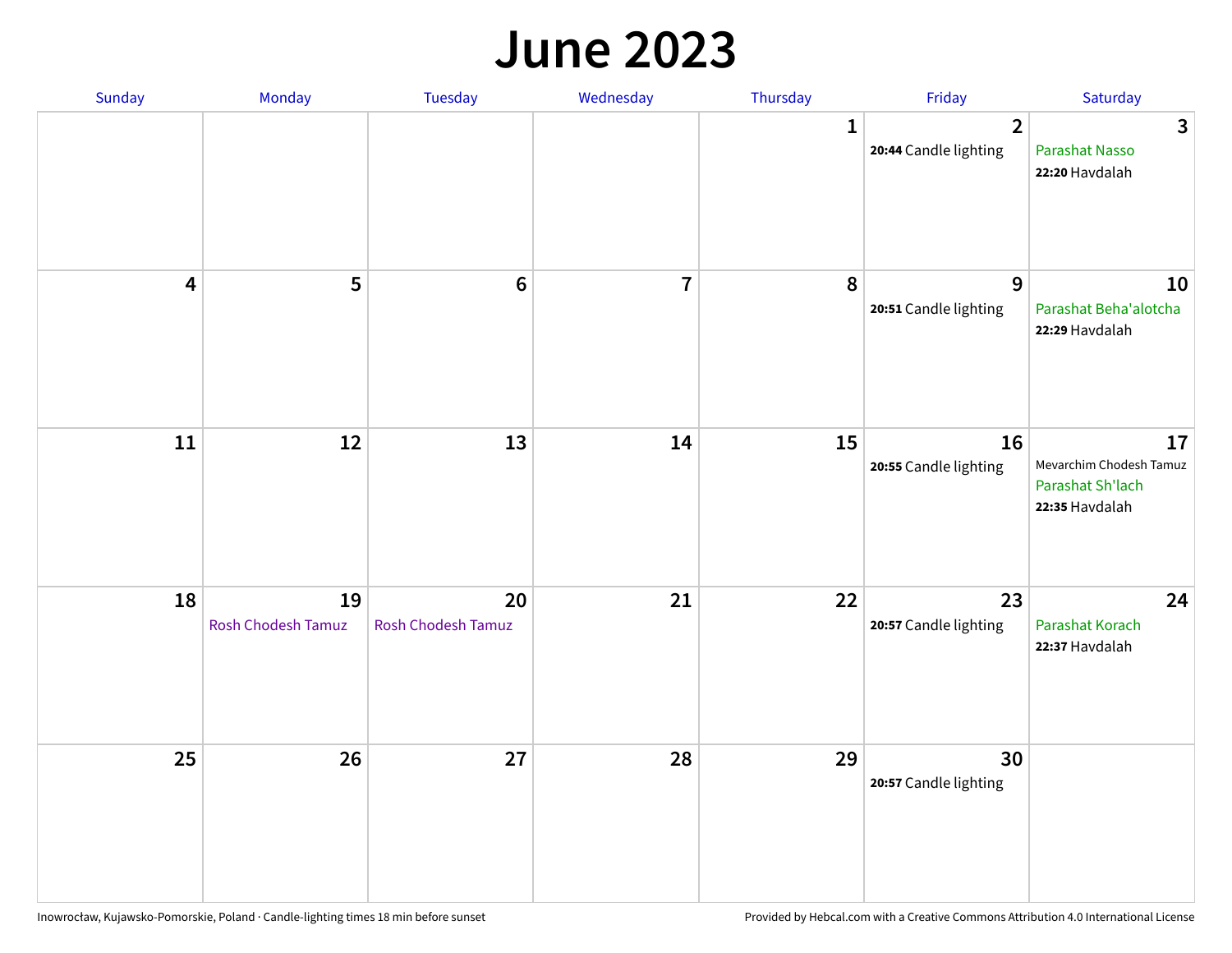#### **June 2023**

| Sunday                  | Monday                          | Tuesday                         | Wednesday      | Thursday | Friday                                  | Saturday                                                            |
|-------------------------|---------------------------------|---------------------------------|----------------|----------|-----------------------------------------|---------------------------------------------------------------------|
|                         |                                 |                                 |                | 1        | $\overline{2}$<br>20:44 Candle lighting | $\mathbf{3}$<br>Parashat Nasso<br>22:20 Havdalah                    |
| $\overline{\mathbf{4}}$ | 5                               | $\bf 6$                         | $\overline{7}$ | 8        | $9$<br>20:51 Candle lighting            | 10<br>Parashat Beha'alotcha<br>22:29 Havdalah                       |
| ${\bf 11}$              | $12\,$                          | 13                              | 14             | 15       | 16<br>20:55 Candle lighting             | 17<br>Mevarchim Chodesh Tamuz<br>Parashat Sh'lach<br>22:35 Havdalah |
| 18                      | 19<br><b>Rosh Chodesh Tamuz</b> | 20<br><b>Rosh Chodesh Tamuz</b> | 21             | 22       | 23<br>20:57 Candle lighting             | 24<br>Parashat Korach<br>22:37 Havdalah                             |
| 25                      | 26                              | 27                              | 28             | 29       | 30<br>20:57 Candle lighting             |                                                                     |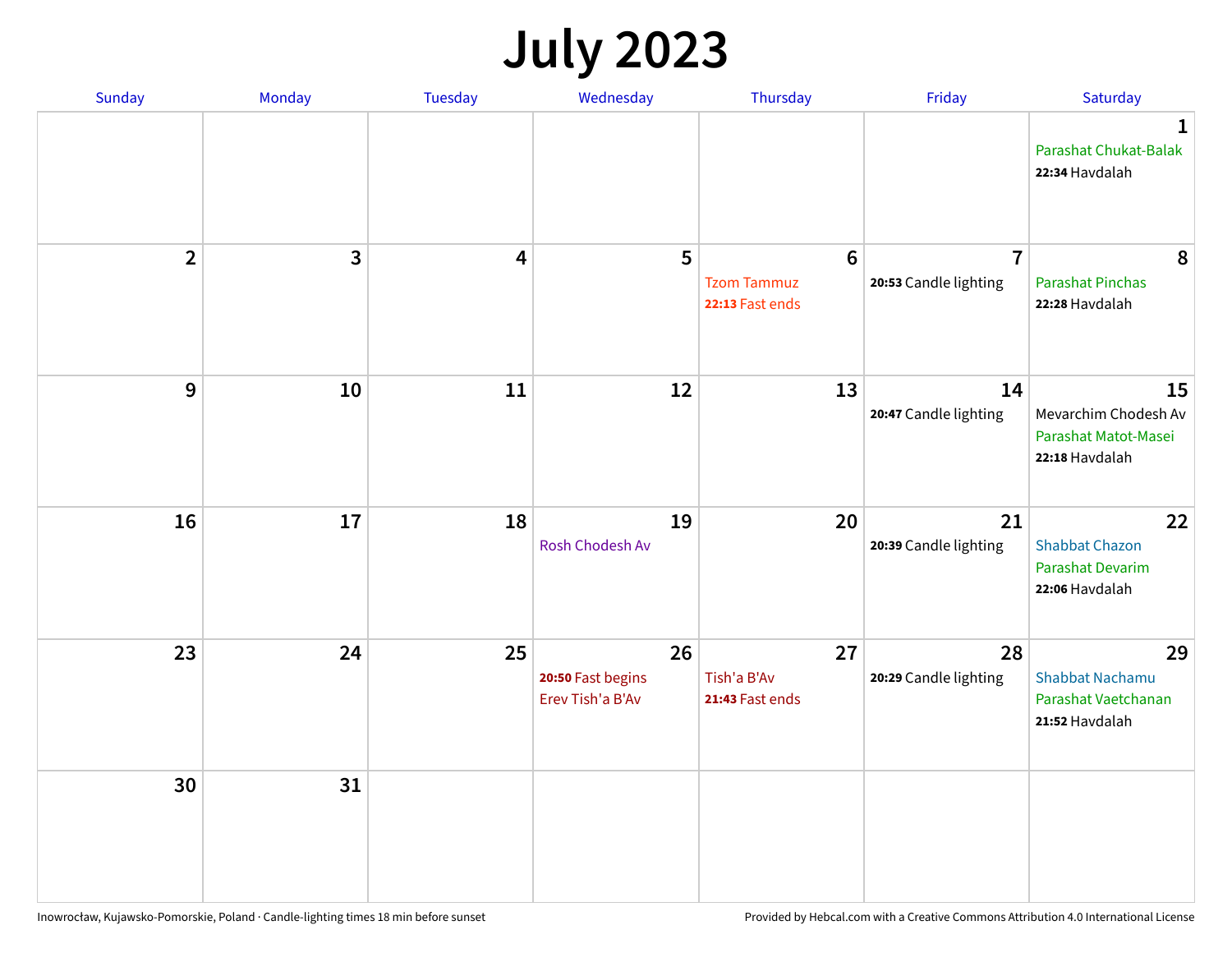## **July 2023**

| Sunday         | Monday       | <b>Tuesday</b> | Wednesday                                   | Thursday                                                 | Friday                                  | Saturday                                                              |
|----------------|--------------|----------------|---------------------------------------------|----------------------------------------------------------|-----------------------------------------|-----------------------------------------------------------------------|
|                |              |                |                                             |                                                          |                                         | $\mathbf 1$<br>Parashat Chukat-Balak<br>22:34 Havdalah                |
| $\overline{2}$ | $\mathbf{3}$ | 4              | 5                                           | $6\phantom{1}6$<br><b>Tzom Tammuz</b><br>22:13 Fast ends | $\overline{7}$<br>20:53 Candle lighting | 8<br><b>Parashat Pinchas</b><br>22:28 Havdalah                        |
| 9              | 10           | 11             | 12                                          | 13                                                       | 14<br>20:47 Candle lighting             | 15<br>Mevarchim Chodesh Av<br>Parashat Matot-Masei<br>22:18 Havdalah  |
| 16             | 17           | 18             | 19<br>Rosh Chodesh Av                       | 20                                                       | 21<br>20:39 Candle lighting             | 22<br><b>Shabbat Chazon</b><br>Parashat Devarim<br>22:06 Havdalah     |
| 23             | 24           | 25             | 26<br>20:50 Fast begins<br>Erev Tish'a B'Av | 27<br>Tish'a B'Av<br>21:43 Fast ends                     | 28<br>20:29 Candle lighting             | 29<br><b>Shabbat Nachamu</b><br>Parashat Vaetchanan<br>21:52 Havdalah |
| 30             | 31           |                |                                             |                                                          |                                         |                                                                       |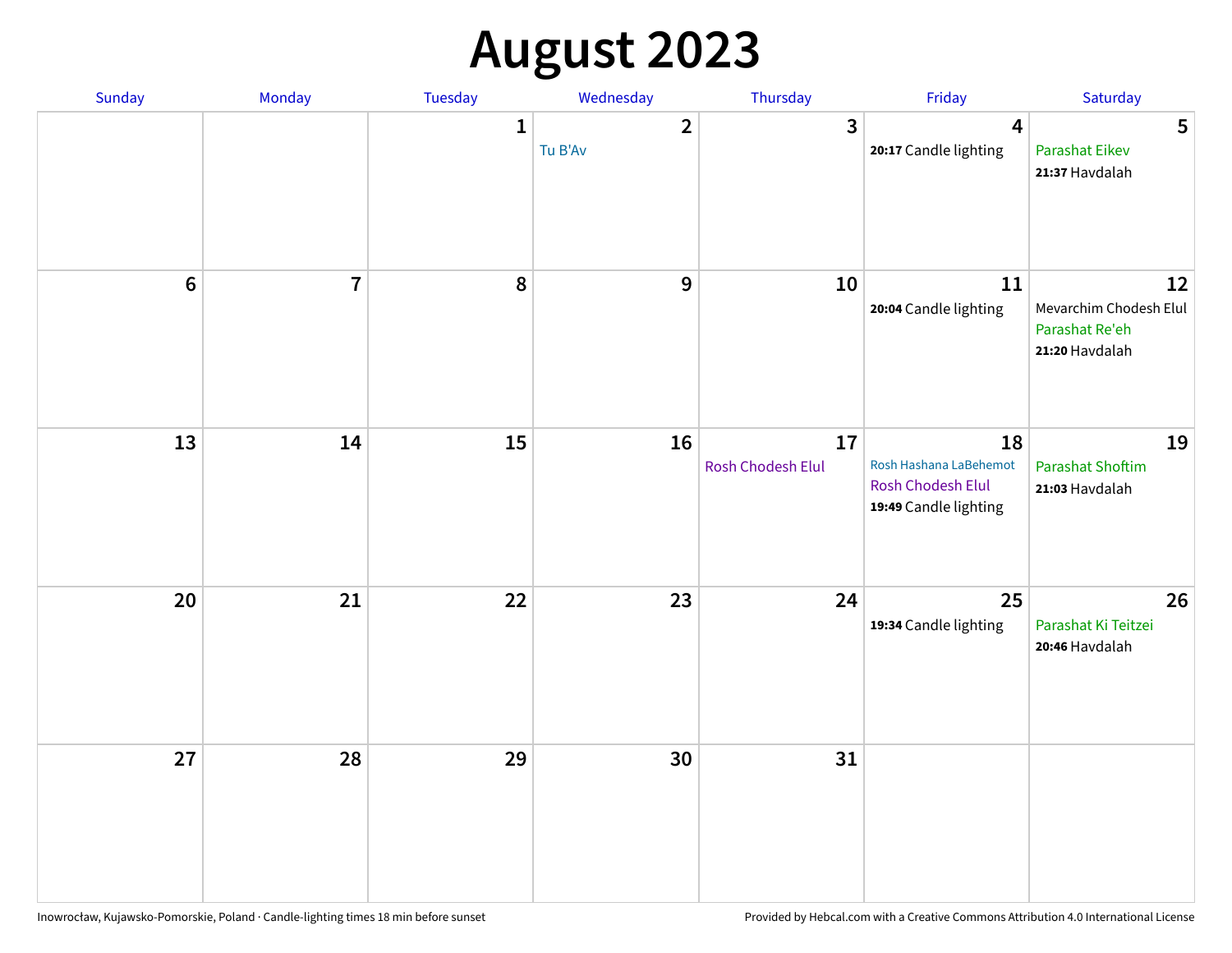## **August 2023**

| Sunday           | Monday         | Tuesday      | Wednesday               | Thursday                | Friday                                                                     | Saturday                                                         |
|------------------|----------------|--------------|-------------------------|-------------------------|----------------------------------------------------------------------------|------------------------------------------------------------------|
|                  |                | $\mathbf{1}$ | $\mathbf{2}$<br>Tu B'Av | 3                       | $\overline{\mathbf{4}}$<br>20:17 Candle lighting                           | 5<br><b>Parashat Eikev</b><br>21:37 Havdalah                     |
| $\boldsymbol{6}$ | $\overline{7}$ | 8            | $\mathbf 9$             | 10                      | 11<br>20:04 Candle lighting                                                | 12<br>Mevarchim Chodesh Elul<br>Parashat Re'eh<br>21:20 Havdalah |
| 13               | 14             | 15           | 16                      | 17<br>Rosh Chodesh Elul | 18<br>Rosh Hashana LaBehemot<br>Rosh Chodesh Elul<br>19:49 Candle lighting | 19<br><b>Parashat Shoftim</b><br>21:03 Havdalah                  |
| 20               | 21             | 22           | 23                      | 24                      | 25<br>19:34 Candle lighting                                                | 26<br>Parashat Ki Teitzei<br>20:46 Havdalah                      |
| 27               | 28             | 29           | 30                      | 31                      |                                                                            |                                                                  |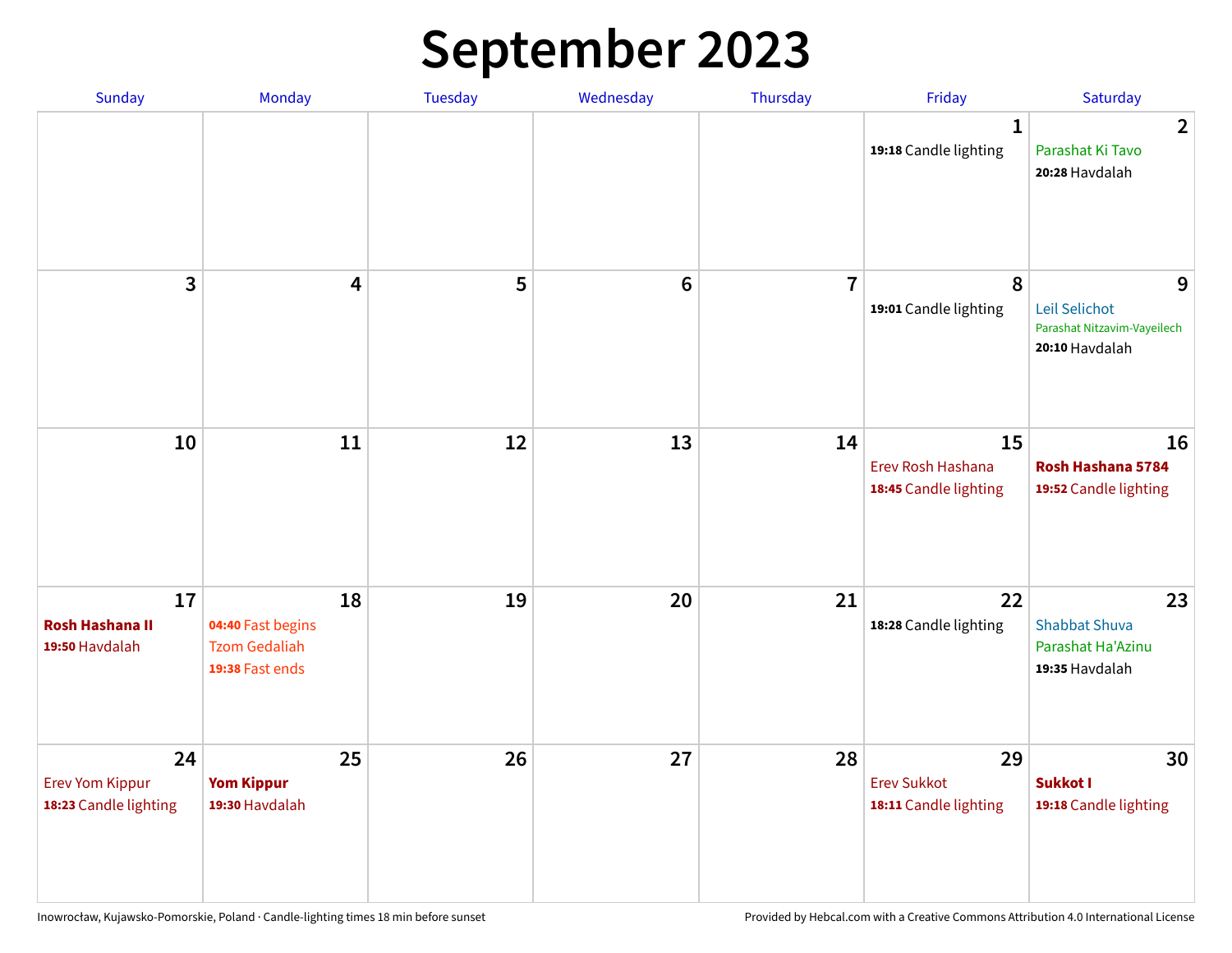## **September 2023**

| Sunday                                                | Monday                                                             | <b>Tuesday</b> | Wednesday       | Thursday       | Friday                                            | Saturday                                                            |
|-------------------------------------------------------|--------------------------------------------------------------------|----------------|-----------------|----------------|---------------------------------------------------|---------------------------------------------------------------------|
|                                                       |                                                                    |                |                 |                | 1<br>19:18 Candle lighting                        | $\overline{2}$<br>Parashat Ki Tavo<br>20:28 Havdalah                |
| 3                                                     | $\overline{\mathbf{4}}$                                            | 5              | $6\phantom{1}6$ | $\overline{7}$ | 8<br>19:01 Candle lighting                        | 9<br>Leil Selichot<br>Parashat Nitzavim-Vayeilech<br>20:10 Havdalah |
| 10                                                    | 11                                                                 | 12             | 13              | 14             | 15<br>Erev Rosh Hashana<br>18:45 Candle lighting  | 16<br>Rosh Hashana 5784<br>19:52 Candle lighting                    |
| 17<br><b>Rosh Hashana II</b><br>19:50 Havdalah        | 18<br>04:40 Fast begins<br><b>Tzom Gedaliah</b><br>19:38 Fast ends | 19             | 20              | 21             | 22<br>18:28 Candle lighting                       | 23<br><b>Shabbat Shuva</b><br>Parashat Ha'Azinu<br>19:35 Havdalah   |
| 24<br><b>Erev Yom Kippur</b><br>18:23 Candle lighting | 25<br><b>Yom Kippur</b><br>19:30 Havdalah                          | 26             | 27              | 28             | 29<br><b>Erev Sukkot</b><br>18:11 Candle lighting | 30<br>Sukkot I<br>19:18 Candle lighting                             |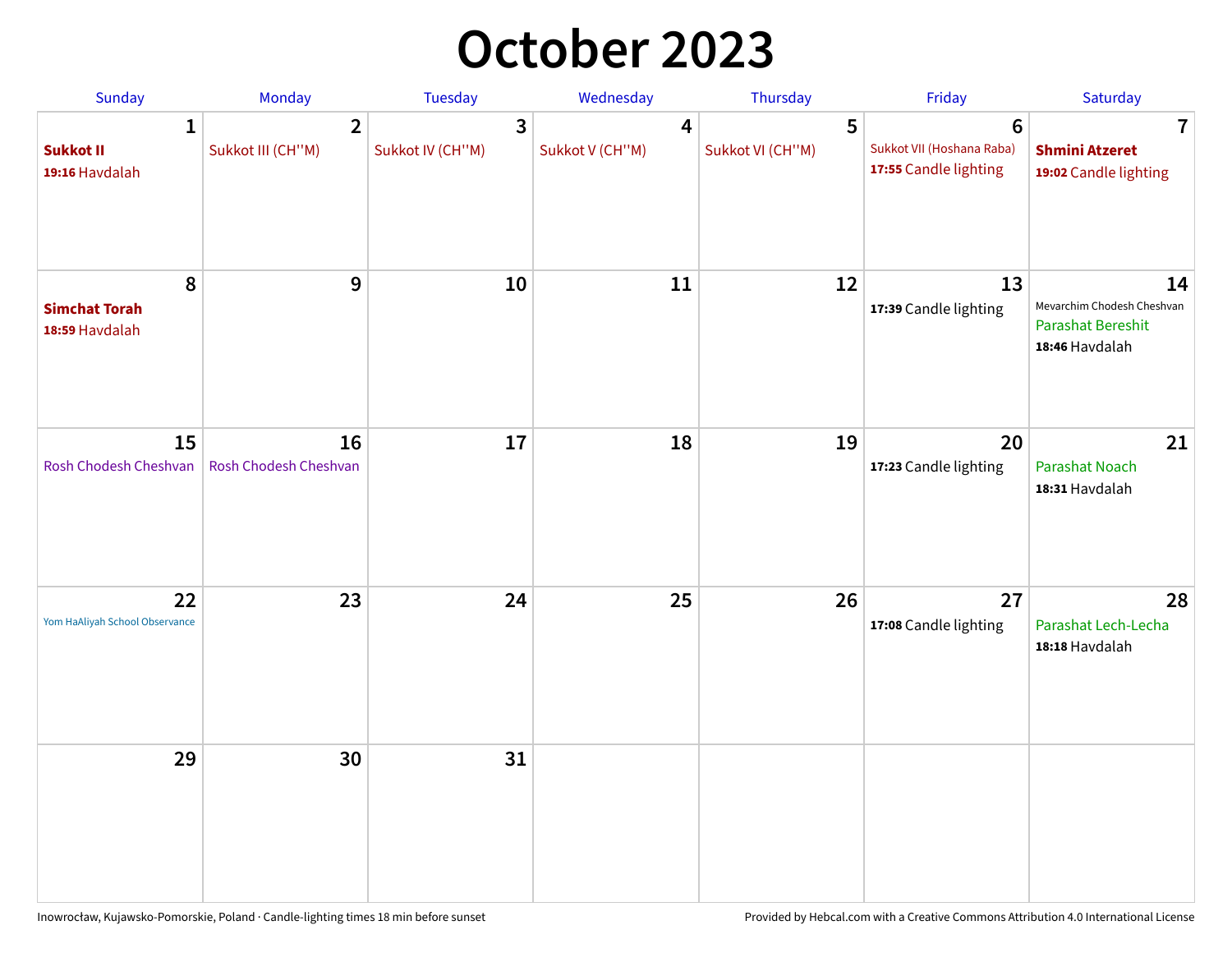### **October 2023**

| Sunday                                             | <b>Monday</b>                       | <b>Tuesday</b>        | Wednesday            | Thursday              | Friday                                                               | Saturday                                                                       |
|----------------------------------------------------|-------------------------------------|-----------------------|----------------------|-----------------------|----------------------------------------------------------------------|--------------------------------------------------------------------------------|
| $\mathbf{1}$<br><b>Sukkot II</b><br>19:16 Havdalah | $\overline{2}$<br>Sukkot III (CH"M) | 3<br>Sukkot IV (CH"M) | 4<br>Sukkot V (CH"M) | 5<br>Sukkot VI (CH"M) | $6\phantom{1}$<br>Sukkot VII (Hoshana Raba)<br>17:55 Candle lighting | 7<br><b>Shmini Atzeret</b><br>19:02 Candle lighting                            |
| 8<br><b>Simchat Torah</b><br>18:59 Havdalah        | 9                                   | 10                    | 11                   | 12                    | 13<br>17:39 Candle lighting                                          | 14<br>Mevarchim Chodesh Cheshvan<br><b>Parashat Bereshit</b><br>18:46 Havdalah |
| 15<br>Rosh Chodesh Cheshvan                        | 16<br>Rosh Chodesh Cheshvan         | 17                    | 18                   | 19                    | 20<br>17:23 Candle lighting                                          | 21<br>Parashat Noach<br>18:31 Havdalah                                         |
| 22<br>Yom HaAliyah School Observance               | 23                                  | 24                    | 25                   | 26                    | 27<br>17:08 Candle lighting                                          | 28<br>Parashat Lech-Lecha<br>18:18 Havdalah                                    |
| 29                                                 | 30                                  | 31                    |                      |                       |                                                                      |                                                                                |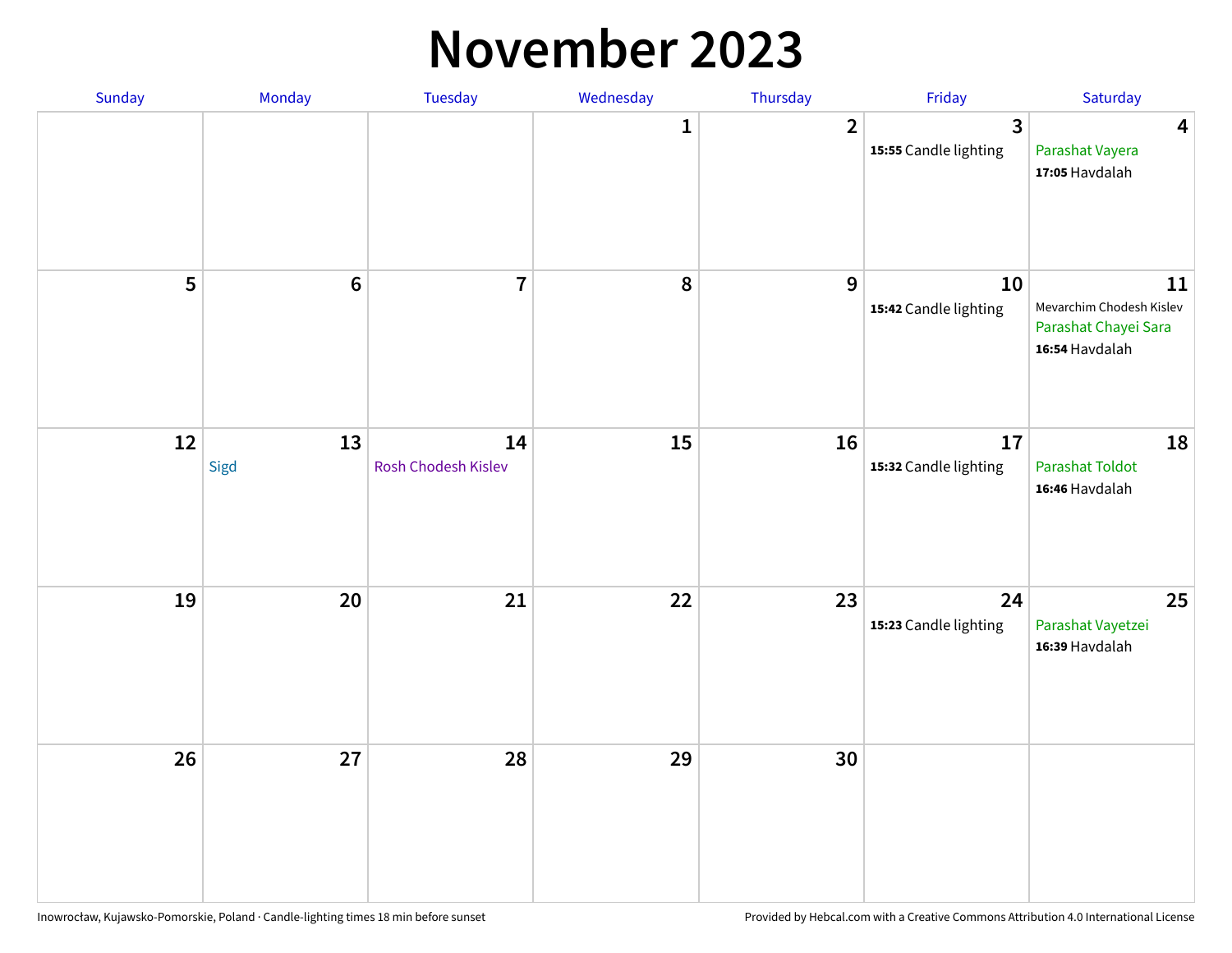#### **November 2023**

| Sunday | Monday         | Tuesday                   | Wednesday    | Thursday         | Friday                                  | Saturday                                                                 |
|--------|----------------|---------------------------|--------------|------------------|-----------------------------------------|--------------------------------------------------------------------------|
|        |                |                           | $\mathbf{1}$ | $\overline{2}$   | $\overline{3}$<br>15:55 Candle lighting | $\overline{\mathbf{4}}$<br>Parashat Vayera<br>17:05 Havdalah             |
| 5      | $6\phantom{a}$ | $\overline{7}$            | ${\bf 8}$    | $\boldsymbol{9}$ | 10<br>15:42 Candle lighting             | 11<br>Mevarchim Chodesh Kislev<br>Parashat Chayei Sara<br>16:54 Havdalah |
| 12     | 13<br>Sigd     | 14<br>Rosh Chodesh Kislev | 15           | 16               | 17<br>15:32 Candle lighting             | 18<br>Parashat Toldot<br>16:46 Havdalah                                  |
| 19     | 20             | $21$                      | 22           | 23               | 24<br>15:23 Candle lighting             | 25<br>Parashat Vayetzei<br>16:39 Havdalah                                |
| 26     | 27             | 28                        | 29           | 30               |                                         |                                                                          |